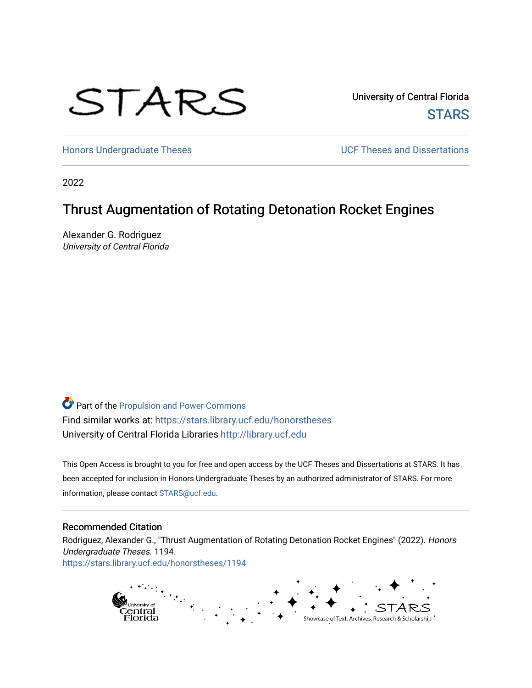# STARS

University of Central Florida **STARS** 

[Honors Undergraduate Theses](https://stars.library.ucf.edu/honorstheses) **Exercise 2018** UCF Theses and Dissertations

2022

# Thrust Augmentation of Rotating Detonation Rocket Engines

Alexander G. Rodriguez University of Central Florida

Part of the [Propulsion and Power Commons](https://network.bepress.com/hgg/discipline/225?utm_source=stars.library.ucf.edu%2Fhonorstheses%2F1194&utm_medium=PDF&utm_campaign=PDFCoverPages) Find similar works at: <https://stars.library.ucf.edu/honorstheses> University of Central Florida Libraries [http://library.ucf.edu](http://library.ucf.edu/) 

This Open Access is brought to you for free and open access by the UCF Theses and Dissertations at STARS. It has been accepted for inclusion in Honors Undergraduate Theses by an authorized administrator of STARS. For more information, please contact [STARS@ucf.edu.](mailto:STARS@ucf.edu)

#### Recommended Citation

Rodriguez, Alexander G., "Thrust Augmentation of Rotating Detonation Rocket Engines" (2022). Honors Undergraduate Theses. 1194. [https://stars.library.ucf.edu/honorstheses/1194](https://stars.library.ucf.edu/honorstheses/1194?utm_source=stars.library.ucf.edu%2Fhonorstheses%2F1194&utm_medium=PDF&utm_campaign=PDFCoverPages)

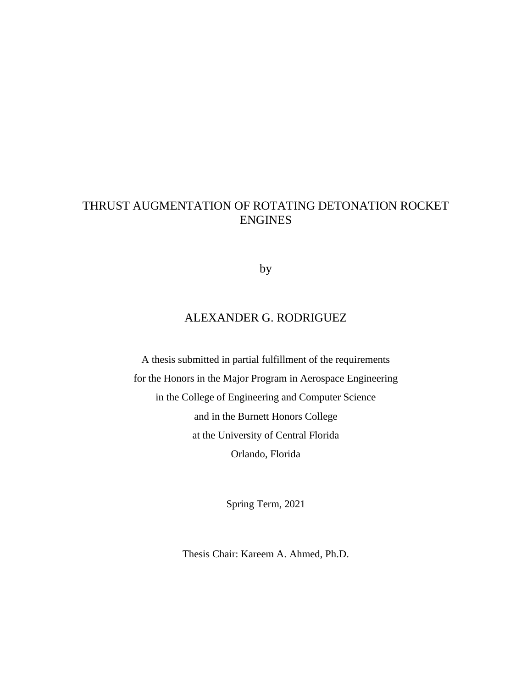# THRUST AUGMENTATION OF ROTATING DETONATION ROCKET ENGINES

by

## ALEXANDER G. RODRIGUEZ

A thesis submitted in partial fulfillment of the requirements for the Honors in the Major Program in Aerospace Engineering in the College of Engineering and Computer Science and in the Burnett Honors College at the University of Central Florida Orlando, Florida

Spring Term, 2021

Thesis Chair: Kareem A. Ahmed, Ph.D.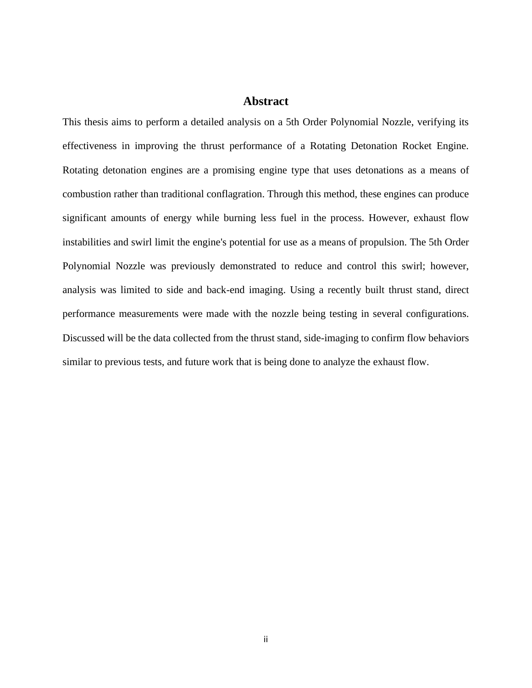#### **Abstract**

This thesis aims to perform a detailed analysis on a 5th Order Polynomial Nozzle, verifying its effectiveness in improving the thrust performance of a Rotating Detonation Rocket Engine. Rotating detonation engines are a promising engine type that uses detonations as a means of combustion rather than traditional conflagration. Through this method, these engines can produce significant amounts of energy while burning less fuel in the process. However, exhaust flow instabilities and swirl limit the engine's potential for use as a means of propulsion. The 5th Order Polynomial Nozzle was previously demonstrated to reduce and control this swirl; however, analysis was limited to side and back-end imaging. Using a recently built thrust stand, direct performance measurements were made with the nozzle being testing in several configurations. Discussed will be the data collected from the thrust stand, side-imaging to confirm flow behaviors similar to previous tests, and future work that is being done to analyze the exhaust flow.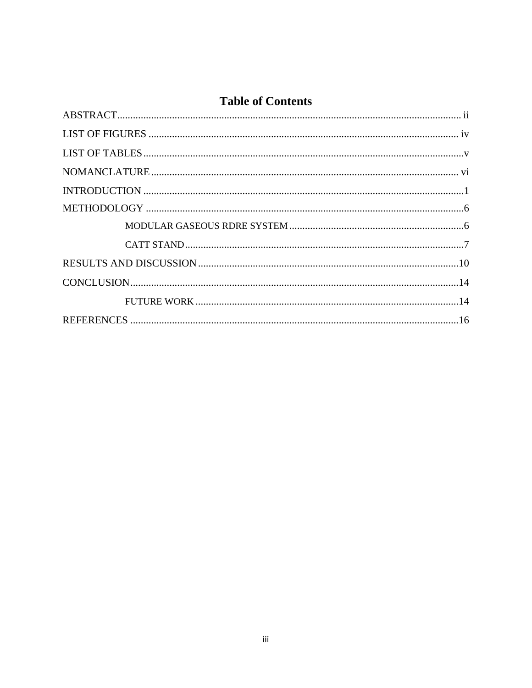# **Table of Contents**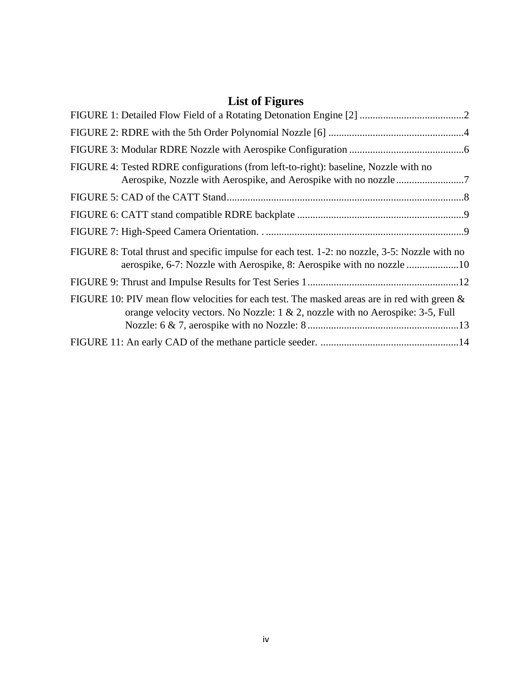# **List of Figures**

| FIGURE 4: Tested RDRE configurations (from left-to-right): baseline, Nozzle with no                                                                                                  |  |
|--------------------------------------------------------------------------------------------------------------------------------------------------------------------------------------|--|
|                                                                                                                                                                                      |  |
|                                                                                                                                                                                      |  |
|                                                                                                                                                                                      |  |
| FIGURE 8: Total thrust and specific impulse for each test. 1-2: no nozzle, 3-5: Nozzle with no                                                                                       |  |
|                                                                                                                                                                                      |  |
| FIGURE 10: PIV mean flow velocities for each test. The masked areas are in red with green $\&$<br>orange velocity vectors. No Nozzle: $1 \& 2$ , nozzle with no Aerospike: 3-5, Full |  |
|                                                                                                                                                                                      |  |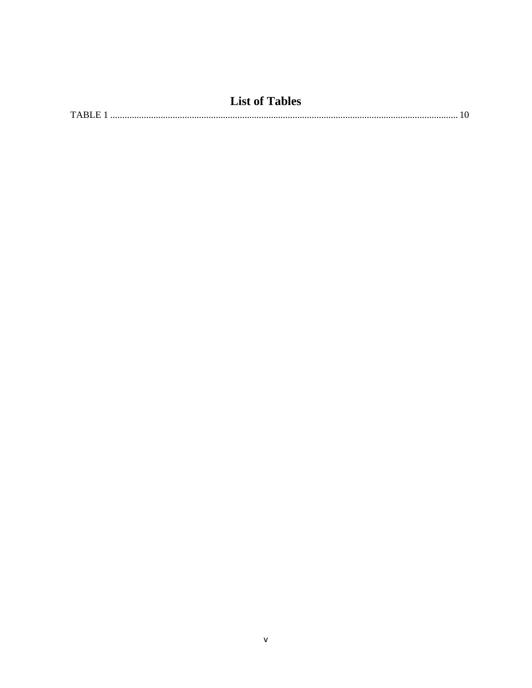| <b>List of Tables</b> |  |
|-----------------------|--|
| TARLE.                |  |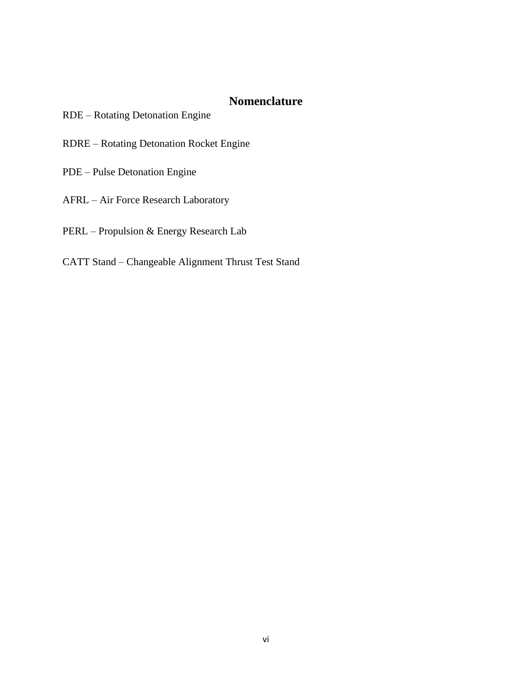## **Nomenclature**

- RDE Rotating Detonation Engine
- RDRE Rotating Detonation Rocket Engine
- PDE Pulse Detonation Engine
- AFRL Air Force Research Laboratory
- PERL Propulsion & Energy Research Lab
- CATT Stand Changeable Alignment Thrust Test Stand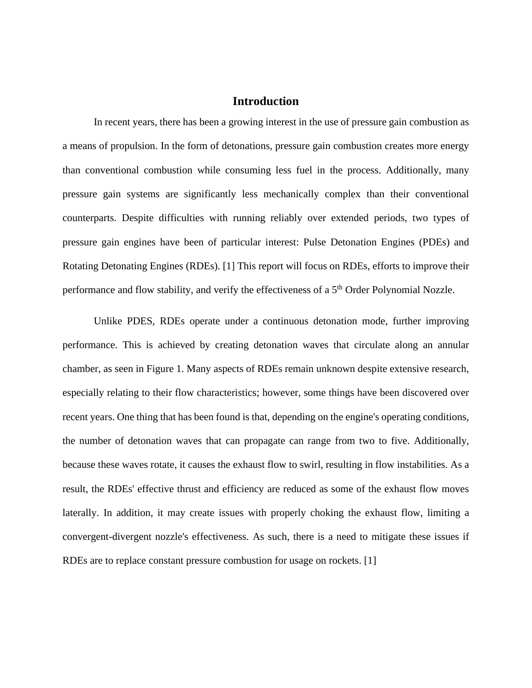#### **Introduction**

In recent years, there has been a growing interest in the use of pressure gain combustion as a means of propulsion. In the form of detonations, pressure gain combustion creates more energy than conventional combustion while consuming less fuel in the process. Additionally, many pressure gain systems are significantly less mechanically complex than their conventional counterparts. Despite difficulties with running reliably over extended periods, two types of pressure gain engines have been of particular interest: Pulse Detonation Engines (PDEs) and Rotating Detonating Engines (RDEs). [1] This report will focus on RDEs, efforts to improve their performance and flow stability, and verify the effectiveness of a 5<sup>th</sup> Order Polynomial Nozzle.

Unlike PDES, RDEs operate under a continuous detonation mode, further improving performance. This is achieved by creating detonation waves that circulate along an annular chamber, as seen in Figure 1. Many aspects of RDEs remain unknown despite extensive research, especially relating to their flow characteristics; however, some things have been discovered over recent years. One thing that has been found is that, depending on the engine's operating conditions, the number of detonation waves that can propagate can range from two to five. Additionally, because these waves rotate, it causes the exhaust flow to swirl, resulting in flow instabilities. As a result, the RDEs' effective thrust and efficiency are reduced as some of the exhaust flow moves laterally. In addition, it may create issues with properly choking the exhaust flow, limiting a convergent-divergent nozzle's effectiveness. As such, there is a need to mitigate these issues if RDEs are to replace constant pressure combustion for usage on rockets. [1]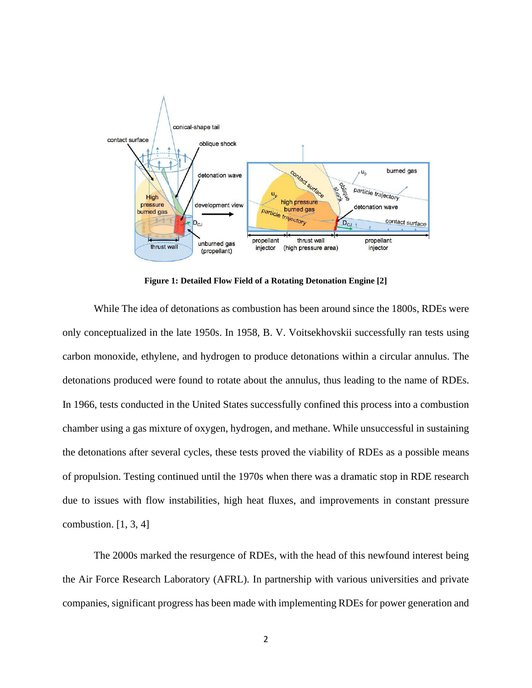

**Figure 1: Detailed Flow Field of a Rotating Detonation Engine [2]**

While The idea of detonations as combustion has been around since the 1800s, RDEs were only conceptualized in the late 1950s. In 1958, B. V. Voitsekhovskii successfully ran tests using carbon monoxide, ethylene, and hydrogen to produce detonations within a circular annulus. The detonations produced were found to rotate about the annulus, thus leading to the name of RDEs. In 1966, tests conducted in the United States successfully confined this process into a combustion chamber using a gas mixture of oxygen, hydrogen, and methane. While unsuccessful in sustaining the detonations after several cycles, these tests proved the viability of RDEs as a possible means of propulsion. Testing continued until the 1970s when there was a dramatic stop in RDE research due to issues with flow instabilities, high heat fluxes, and improvements in constant pressure combustion.  $[1, 3, 4]$ 

The 2000s marked the resurgence of RDEs, with the head of this newfound interest being the Air Force Research Laboratory (AFRL). In partnership with various universities and private companies, significant progress has been made with implementing RDEs for power generation and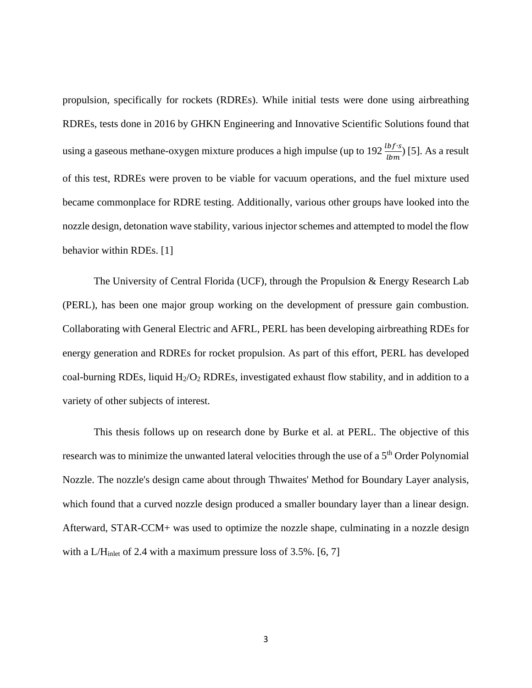propulsion, specifically for rockets (RDREs). While initial tests were done using airbreathing RDREs, tests done in 2016 by GHKN Engineering and Innovative Scientific Solutions found that using a gaseous methane-oxygen mixture produces a high impulse (up to 192  $\frac{lbf \cdot s}{lbm}$ ) [5]. As a result of this test, RDREs were proven to be viable for vacuum operations, and the fuel mixture used became commonplace for RDRE testing. Additionally, various other groups have looked into the nozzle design, detonation wave stability, various injector schemes and attempted to model the flow behavior within RDEs. [1]

The University of Central Florida (UCF), through the Propulsion & Energy Research Lab (PERL), has been one major group working on the development of pressure gain combustion. Collaborating with General Electric and AFRL, PERL has been developing airbreathing RDEs for energy generation and RDREs for rocket propulsion. As part of this effort, PERL has developed coal-burning RDEs, liquid  $H_2/O_2$  RDREs, investigated exhaust flow stability, and in addition to a variety of other subjects of interest.

This thesis follows up on research done by Burke et al. at PERL. The objective of this research was to minimize the unwanted lateral velocities through the use of a 5<sup>th</sup> Order Polynomial Nozzle. The nozzle's design came about through Thwaites' Method for Boundary Layer analysis, which found that a curved nozzle design produced a smaller boundary layer than a linear design. Afterward, STAR-CCM+ was used to optimize the nozzle shape, culminating in a nozzle design with a L/H<sub>inlet</sub> of 2.4 with a maximum pressure loss of  $3.5\%$ . [6, 7]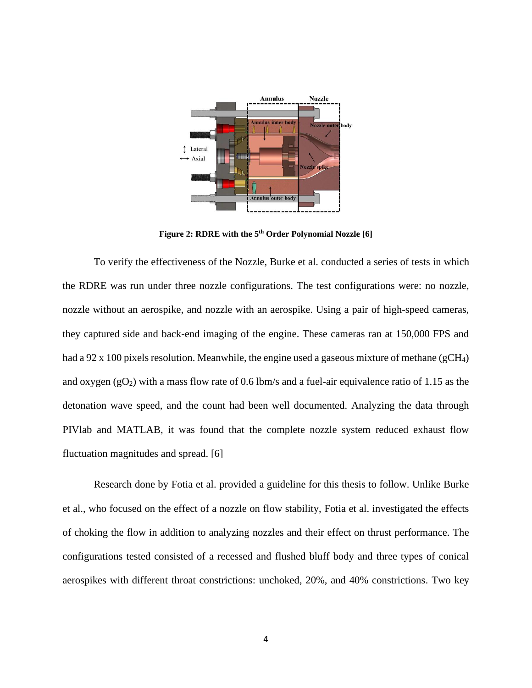

**Figure 2: RDRE with the 5 th Order Polynomial Nozzle [6]**

To verify the effectiveness of the Nozzle, Burke et al. conducted a series of tests in which the RDRE was run under three nozzle configurations. The test configurations were: no nozzle, nozzle without an aerospike, and nozzle with an aerospike. Using a pair of high-speed cameras, they captured side and back-end imaging of the engine. These cameras ran at 150,000 FPS and had a 92 x 100 pixels resolution. Meanwhile, the engine used a gaseous mixture of methane (gCH<sub>4</sub>) and oxygen  $(gO_2)$  with a mass flow rate of 0.6 lbm/s and a fuel-air equivalence ratio of 1.15 as the detonation wave speed, and the count had been well documented. Analyzing the data through PIVlab and MATLAB, it was found that the complete nozzle system reduced exhaust flow fluctuation magnitudes and spread. [6]

Research done by Fotia et al. provided a guideline for this thesis to follow. Unlike Burke et al., who focused on the effect of a nozzle on flow stability, Fotia et al. investigated the effects of choking the flow in addition to analyzing nozzles and their effect on thrust performance. The configurations tested consisted of a recessed and flushed bluff body and three types of conical aerospikes with different throat constrictions: unchoked, 20%, and 40% constrictions. Two key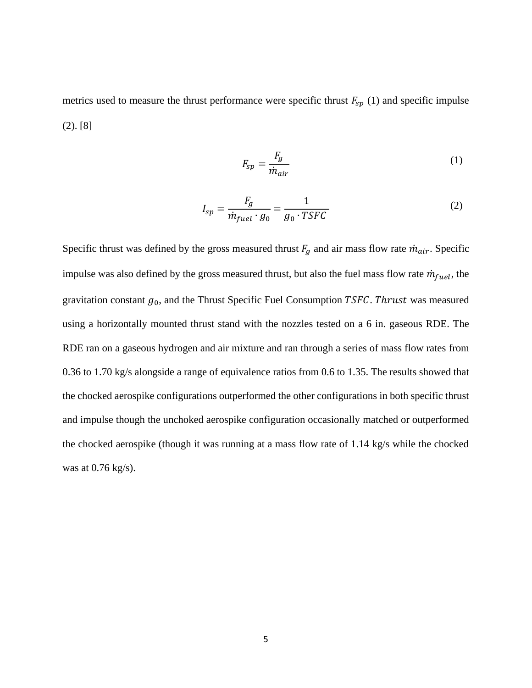metrics used to measure the thrust performance were specific thrust  $F_{sp}$  (1) and specific impulse (2). [8]

$$
F_{sp} = \frac{F_g}{\dot{m}_{air}}\tag{1}
$$

$$
I_{sp} = \frac{F_g}{\dot{m}_{fuel} \cdot g_0} = \frac{1}{g_0 \cdot TSFC}
$$
 (2)

Specific thrust was defined by the gross measured thrust  $F_g$  and air mass flow rate  $\dot{m}_{air}$ . Specific impulse was also defined by the gross measured thrust, but also the fuel mass flow rate  $\dot{m}_{fuel}$ , the gravitation constant  $g_0$ , and the Thrust Specific Fuel Consumption TSFC. Thrust was measured using a horizontally mounted thrust stand with the nozzles tested on a 6 in. gaseous RDE. The RDE ran on a gaseous hydrogen and air mixture and ran through a series of mass flow rates from 0.36 to 1.70 kg/s alongside a range of equivalence ratios from 0.6 to 1.35. The results showed that the chocked aerospike configurations outperformed the other configurations in both specific thrust and impulse though the unchoked aerospike configuration occasionally matched or outperformed the chocked aerospike (though it was running at a mass flow rate of 1.14 kg/s while the chocked was at 0.76 kg/s).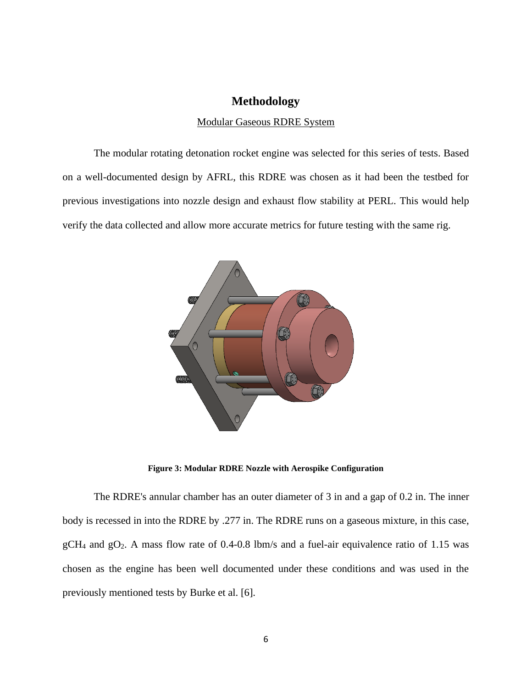#### **Methodology**

#### Modular Gaseous RDRE System

The modular rotating detonation rocket engine was selected for this series of tests. Based on a well-documented design by AFRL, this RDRE was chosen as it had been the testbed for previous investigations into nozzle design and exhaust flow stability at PERL. This would help verify the data collected and allow more accurate metrics for future testing with the same rig.



**Figure 3: Modular RDRE Nozzle with Aerospike Configuration**

The RDRE's annular chamber has an outer diameter of 3 in and a gap of 0.2 in. The inner body is recessed in into the RDRE by .277 in. The RDRE runs on a gaseous mixture, in this case,  $gCH_4$  and  $gO_2$ . A mass flow rate of 0.4-0.8 lbm/s and a fuel-air equivalence ratio of 1.15 was chosen as the engine has been well documented under these conditions and was used in the previously mentioned tests by Burke et al. [6].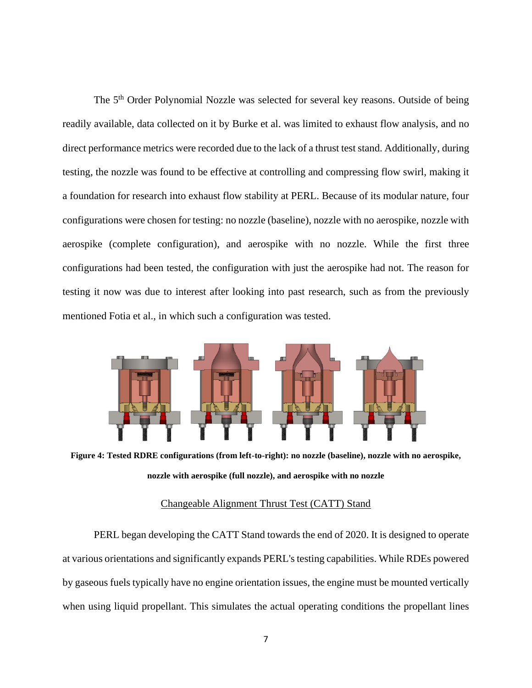The 5<sup>th</sup> Order Polynomial Nozzle was selected for several key reasons. Outside of being readily available, data collected on it by Burke et al. was limited to exhaust flow analysis, and no direct performance metrics were recorded due to the lack of a thrust test stand. Additionally, during testing, the nozzle was found to be effective at controlling and compressing flow swirl, making it a foundation for research into exhaust flow stability at PERL. Because of its modular nature, four configurations were chosen for testing: no nozzle (baseline), nozzle with no aerospike, nozzle with aerospike (complete configuration), and aerospike with no nozzle. While the first three configurations had been tested, the configuration with just the aerospike had not. The reason for testing it now was due to interest after looking into past research, such as from the previously mentioned Fotia et al., in which such a configuration was tested.



**Figure 4: Tested RDRE configurations (from left-to-right): no nozzle (baseline), nozzle with no aerospike, nozzle with aerospike (full nozzle), and aerospike with no nozzle**

#### Changeable Alignment Thrust Test (CATT) Stand

PERL began developing the CATT Stand towards the end of 2020. It is designed to operate at various orientations and significantly expands PERL's testing capabilities. While RDEs powered by gaseous fuels typically have no engine orientation issues, the engine must be mounted vertically when using liquid propellant. This simulates the actual operating conditions the propellant lines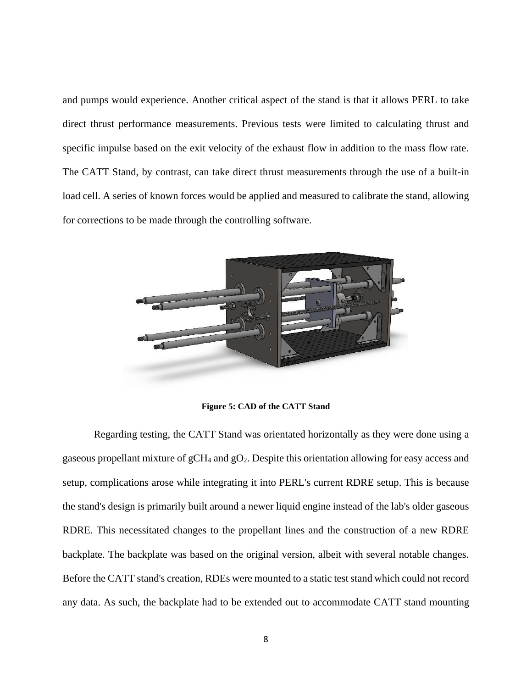and pumps would experience. Another critical aspect of the stand is that it allows PERL to take direct thrust performance measurements. Previous tests were limited to calculating thrust and specific impulse based on the exit velocity of the exhaust flow in addition to the mass flow rate. The CATT Stand, by contrast, can take direct thrust measurements through the use of a built-in load cell. A series of known forces would be applied and measured to calibrate the stand, allowing for corrections to be made through the controlling software.



**Figure 5: CAD of the CATT Stand**

Regarding testing, the CATT Stand was orientated horizontally as they were done using a gaseous propellant mixture of gCH<sup>4</sup> and gO2. Despite this orientation allowing for easy access and setup, complications arose while integrating it into PERL's current RDRE setup. This is because the stand's design is primarily built around a newer liquid engine instead of the lab's older gaseous RDRE. This necessitated changes to the propellant lines and the construction of a new RDRE backplate. The backplate was based on the original version, albeit with several notable changes. Before the CATT stand's creation, RDEs were mounted to a static test stand which could not record any data. As such, the backplate had to be extended out to accommodate CATT stand mounting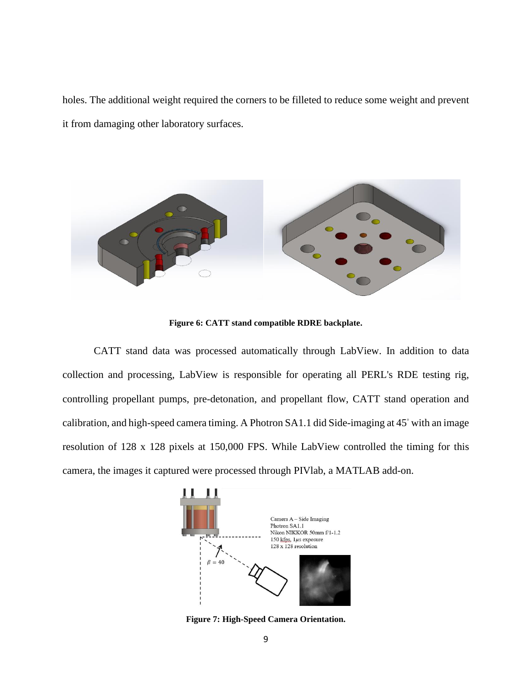holes. The additional weight required the corners to be filleted to reduce some weight and prevent it from damaging other laboratory surfaces.



**Figure 6: CATT stand compatible RDRE backplate.**

CATT stand data was processed automatically through LabView. In addition to data collection and processing, LabView is responsible for operating all PERL's RDE testing rig, controlling propellant pumps, pre-detonation, and propellant flow, CATT stand operation and calibration, and high-speed camera timing. A Photron SA1.1 did Side-imaging at 45◦ with an image resolution of 128 x 128 pixels at 150,000 FPS. While LabView controlled the timing for this camera, the images it captured were processed through PIVlab, a MATLAB add-on.



**Figure 7: High-Speed Camera Orientation.**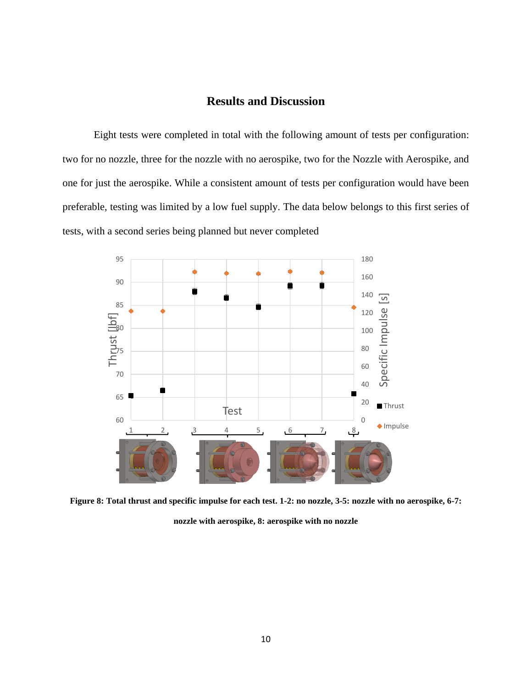### **Results and Discussion**

Eight tests were completed in total with the following amount of tests per configuration: two for no nozzle, three for the nozzle with no aerospike, two for the Nozzle with Aerospike, and one for just the aerospike. While a consistent amount of tests per configuration would have been preferable, testing was limited by a low fuel supply. The data below belongs to this first series of tests, with a second series being planned but never completed



**Figure 8: Total thrust and specific impulse for each test. 1-2: no nozzle, 3-5: nozzle with no aerospike, 6-7: nozzle with aerospike, 8: aerospike with no nozzle**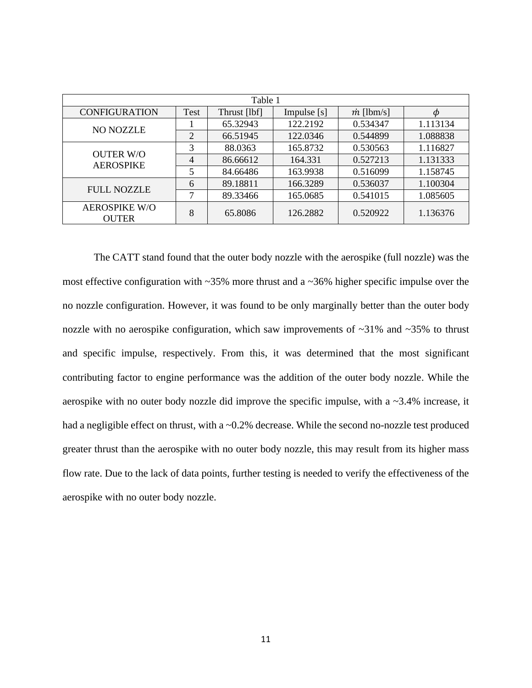| Table 1                              |                |              |               |                   |          |  |
|--------------------------------------|----------------|--------------|---------------|-------------------|----------|--|
| <b>CONFIGURATION</b>                 | Test           | Thrust [lbf] | Impulse $[s]$ | $\dot{m}$ [lbm/s] |          |  |
| <b>NO NOZZLE</b>                     |                | 65.32943     | 122.2192      | 0.534347          | 1.113134 |  |
|                                      | 2              | 66.51945     | 122.0346      | 0.544899          | 1.088838 |  |
| <b>OUTER W/O</b><br><b>AEROSPIKE</b> | 3              | 88.0363      | 165.8732      | 0.530563          | 1.116827 |  |
|                                      | $\overline{4}$ | 86.66612     | 164.331       | 0.527213          | 1.131333 |  |
|                                      | 5              | 84.66486     | 163.9938      | 0.516099          | 1.158745 |  |
| <b>FULL NOZZLE</b>                   | 6              | 89.18811     | 166.3289      | 0.536037          | 1.100304 |  |
|                                      | ⇁              | 89.33466     | 165.0685      | 0.541015          | 1.085605 |  |
| <b>AEROSPIKE W/O</b><br><b>OUTER</b> | 8              | 65.8086      | 126.2882      | 0.520922          | 1.136376 |  |

The CATT stand found that the outer body nozzle with the aerospike (full nozzle) was the most effective configuration with ~35% more thrust and a ~36% higher specific impulse over the no nozzle configuration. However, it was found to be only marginally better than the outer body nozzle with no aerospike configuration, which saw improvements of  $\sim$ 31% and  $\sim$ 35% to thrust and specific impulse, respectively. From this, it was determined that the most significant contributing factor to engine performance was the addition of the outer body nozzle. While the aerospike with no outer body nozzle did improve the specific impulse, with a ~3.4% increase, it had a negligible effect on thrust, with a ~0.2% decrease. While the second no-nozzle test produced greater thrust than the aerospike with no outer body nozzle, this may result from its higher mass flow rate. Due to the lack of data points, further testing is needed to verify the effectiveness of the aerospike with no outer body nozzle.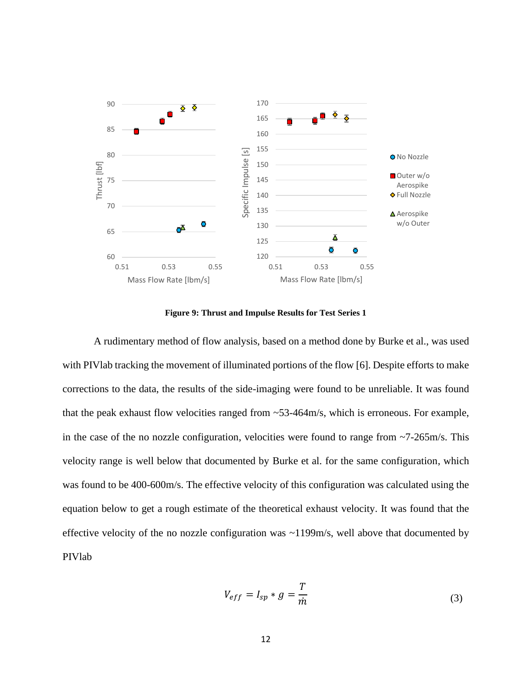

**Figure 9: Thrust and Impulse Results for Test Series 1**

A rudimentary method of flow analysis, based on a method done by Burke et al., was used with PIVlab tracking the movement of illuminated portions of the flow [6]. Despite efforts to make corrections to the data, the results of the side-imaging were found to be unreliable. It was found that the peak exhaust flow velocities ranged from ~53-464m/s, which is erroneous. For example, in the case of the no nozzle configuration, velocities were found to range from  $\sim$ 7-265m/s. This velocity range is well below that documented by Burke et al. for the same configuration, which was found to be 400-600m/s. The effective velocity of this configuration was calculated using the equation below to get a rough estimate of the theoretical exhaust velocity. It was found that the effective velocity of the no nozzle configuration was ~1199m/s, well above that documented by PIVlab

$$
V_{eff} = I_{sp} * g = \frac{T}{\dot{m}}
$$
 (3)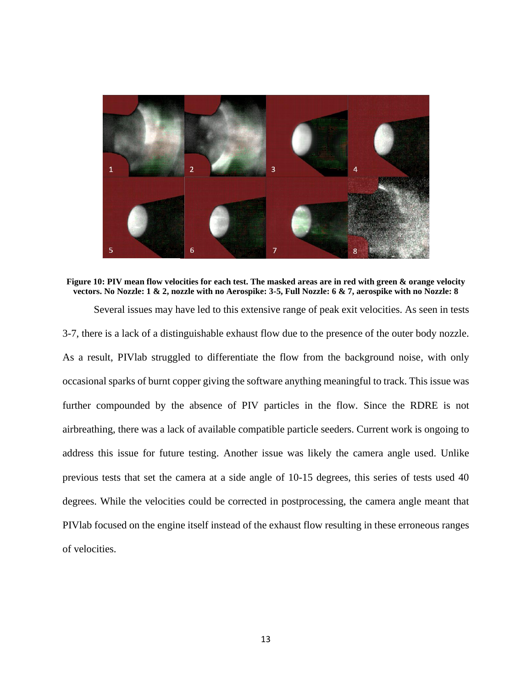

**Figure 10: PIV mean flow velocities for each test. The masked areas are in red with green & orange velocity vectors. No Nozzle: 1 & 2, nozzle with no Aerospike: 3-5, Full Nozzle: 6 & 7, aerospike with no Nozzle: 8**

Several issues may have led to this extensive range of peak exit velocities. As seen in tests

3-7, there is a lack of a distinguishable exhaust flow due to the presence of the outer body nozzle. As a result, PIVlab struggled to differentiate the flow from the background noise, with only occasional sparks of burnt copper giving the software anything meaningful to track. This issue was further compounded by the absence of PIV particles in the flow. Since the RDRE is not airbreathing, there was a lack of available compatible particle seeders. Current work is ongoing to address this issue for future testing. Another issue was likely the camera angle used. Unlike previous tests that set the camera at a side angle of 10-15 degrees, this series of tests used 40 degrees. While the velocities could be corrected in postprocessing, the camera angle meant that PIVlab focused on the engine itself instead of the exhaust flow resulting in these erroneous ranges of velocities.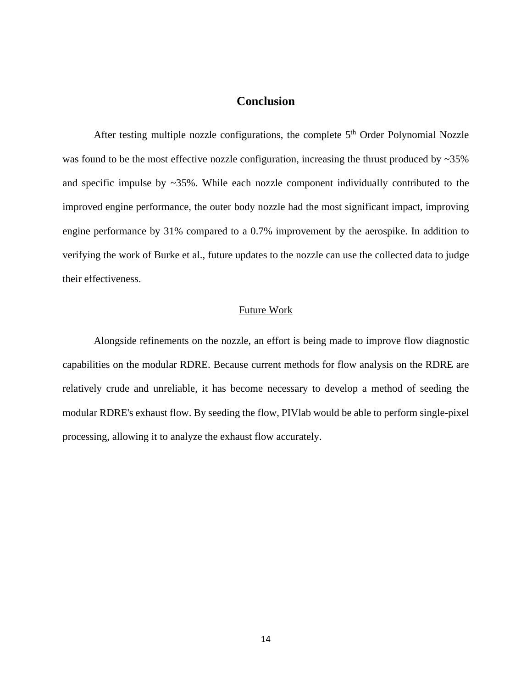#### **Conclusion**

After testing multiple nozzle configurations, the complete 5<sup>th</sup> Order Polynomial Nozzle was found to be the most effective nozzle configuration, increasing the thrust produced by ~35% and specific impulse by ~35%. While each nozzle component individually contributed to the improved engine performance, the outer body nozzle had the most significant impact, improving engine performance by 31% compared to a 0.7% improvement by the aerospike. In addition to verifying the work of Burke et al., future updates to the nozzle can use the collected data to judge their effectiveness.

#### Future Work

Alongside refinements on the nozzle, an effort is being made to improve flow diagnostic capabilities on the modular RDRE. Because current methods for flow analysis on the RDRE are relatively crude and unreliable, it has become necessary to develop a method of seeding the modular RDRE's exhaust flow. By seeding the flow, PIVlab would be able to perform single-pixel processing, allowing it to analyze the exhaust flow accurately.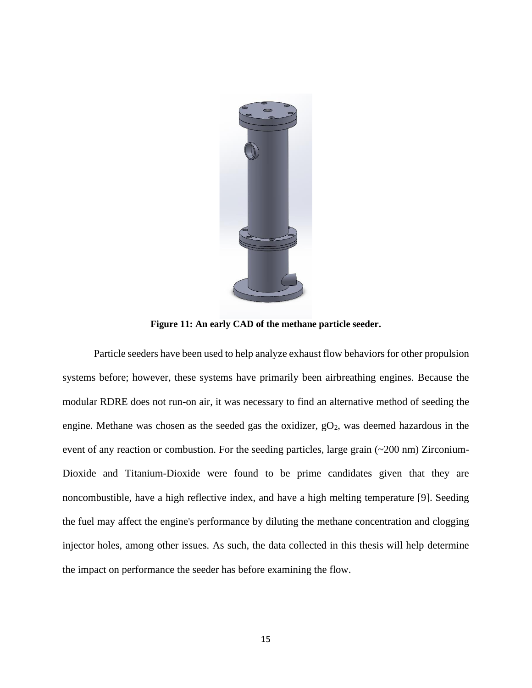

**Figure 11: An early CAD of the methane particle seeder.**

Particle seeders have been used to help analyze exhaust flow behaviors for other propulsion systems before; however, these systems have primarily been airbreathing engines. Because the modular RDRE does not run-on air, it was necessary to find an alternative method of seeding the engine. Methane was chosen as the seeded gas the oxidizer,  $gO<sub>2</sub>$ , was deemed hazardous in the event of any reaction or combustion. For the seeding particles, large grain (~200 nm) Zirconium-Dioxide and Titanium-Dioxide were found to be prime candidates given that they are noncombustible, have a high reflective index, and have a high melting temperature [9]. Seeding the fuel may affect the engine's performance by diluting the methane concentration and clogging injector holes, among other issues. As such, the data collected in this thesis will help determine the impact on performance the seeder has before examining the flow.